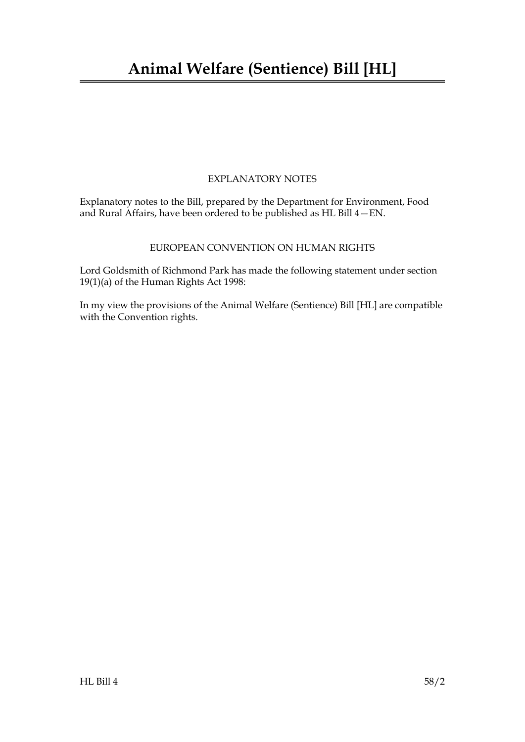### EXPLANATORY NOTES

Explanatory notes to the Bill, prepared by the Department for Environment, Food and Rural Affairs, have been ordered to be published as HL Bill 4—EN.

### EUROPEAN CONVENTION ON HUMAN RIGHTS

Lord Goldsmith of Richmond Park has made the following statement under section 19(1)(a) of the Human Rights Act 1998:

In my view the provisions of the Animal Welfare (Sentience) Bill [HL] are compatible with the Convention rights.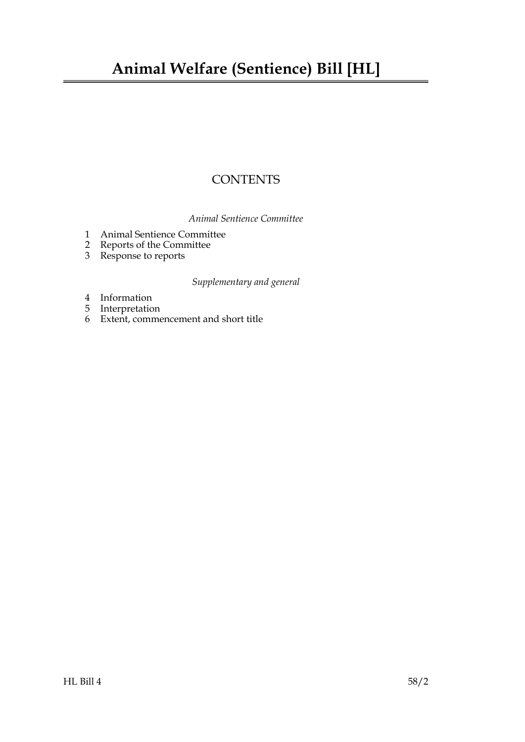# **Animal Welfare (Sentience) Bill [HL]**

## **CONTENTS**

*Animal Sentience Committee*

- [1 Animal Sentience Committee](#page-4-0)
- [2 Reports of the Committee](#page-4-1)
- [3 Response to reports](#page-5-0)

### *Supplementary and general*

- [4 Information](#page-5-1)
- [5 Interpretation](#page-5-2)
- 6 [Extent, commencement and short title](#page-6-0)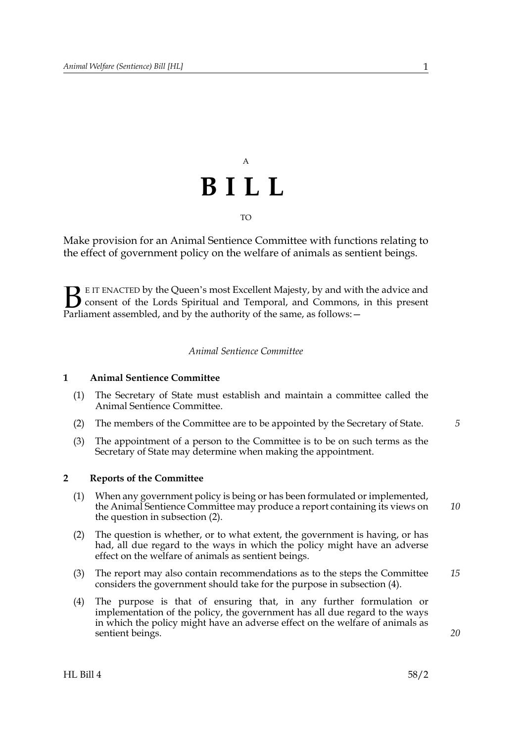# A **BILL** TO

Make provision for an Animal Sentience Committee with functions relating to the effect of government policy on the welfare of animals as sentient beings.

E IT ENACTED by the Queen's most Excellent Majesty, by and with the advice and consent of the Lords Spiritual and Temporal, and Commons, in this present **B** E IT ENACTED by the Queen's most Excellent Majesty, by and with consent of the Lords Spiritual and Temporal, and Commons, Parliament assembled, and by the authority of the same, as follows:  $-$ 

#### *Animal Sentience Committee*

#### <span id="page-4-0"></span>**1 Animal Sentience Committee**

- (1) The Secretary of State must establish and maintain a committee called the Animal Sentience Committee.
- (2) The members of the Committee are to be appointed by the Secretary of State. *5*
- (3) The appointment of a person to the Committee is to be on such terms as the Secretary of State may determine when making the appointment.

#### <span id="page-4-2"></span><span id="page-4-1"></span>**2 Reports of the Committee**

- (1) When any government policy is being or has been formulated or implemented, the Animal Sentience Committee may produce a report containing its views on the question in subsection (2).
- (2) The question is whether, or to what extent, the government is having, or has had, all due regard to the ways in which the policy might have an adverse effect on the welfare of animals as sentient beings.
- (3) The report may also contain recommendations as to the steps the Committee considers the government should take for the purpose in subsection (4). *15*
- (4) The purpose is that of ensuring that, in any further formulation or implementation of the policy, the government has all due regard to the ways in which the policy might have an adverse effect on the welfare of animals as sentient beings.

*20*

*10*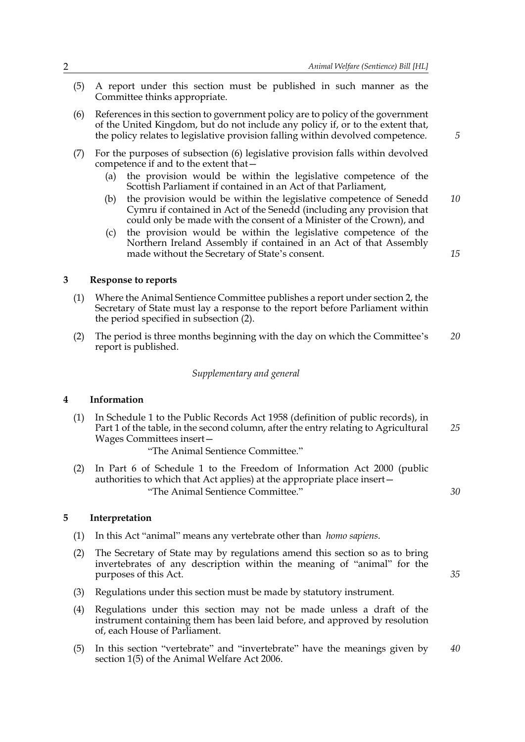- (5) A report under this section must be published in such manner as the Committee thinks appropriate.
- (6) References in this section to government policy are to policy of the government of the United Kingdom, but do not include any policy if, or to the extent that, the policy relates to legislative provision falling within devolved competence.
- (7) For the purposes of subsection (6) legislative provision falls within devolved competence if and to the extent that—
	- (a) the provision would be within the legislative competence of the Scottish Parliament if contained in an Act of that Parliament,
	- (b) the provision would be within the legislative competence of Senedd Cymru if contained in Act of the Senedd (including any provision that could only be made with the consent of a Minister of the Crown), and *10*
	- (c) the provision would be within the legislative competence of the Northern Ireland Assembly if contained in an Act of that Assembly made without the Secretary of State's consent.

<span id="page-5-0"></span>**3 Response to reports**

- (1) Where the Animal Sentience Committee publishes a report under section [2,](#page-4-2) the Secretary of State must lay a response to the report before Parliament within the period specified in subsection (2).
- (2) The period is three months beginning with the day on which the Committee's report is published. *20*

#### *Supplementary and general*

#### <span id="page-5-1"></span>**4 Information**

(1) In Schedule 1 to the Public Records Act 1958 (definition of public records), in Part 1 of the table, in the second column, after the entry relating to Agricultural Wages Committees insert— *25*

"The Animal Sentience Committee."

(2) In Part 6 of Schedule 1 to the Freedom of Information Act 2000 (public authorities to which that Act applies) at the appropriate place insert— "The Animal Sentience Committee."

#### <span id="page-5-2"></span>**5 Interpretation**

- (1) In this Act "animal" means any vertebrate other than *homo sapiens*.
- (2) The Secretary of State may by regulations amend this section so as to bring invertebrates of any description within the meaning of "animal" for the purposes of this Act.
- (3) Regulations under this section must be made by statutory instrument.
- (4) Regulations under this section may not be made unless a draft of the instrument containing them has been laid before, and approved by resolution of, each House of Parliament.
- (5) In this section "vertebrate" and "invertebrate" have the meanings given by section 1(5) of the Animal Welfare Act 2006. *40*

*5*

*15*

*30*

*35*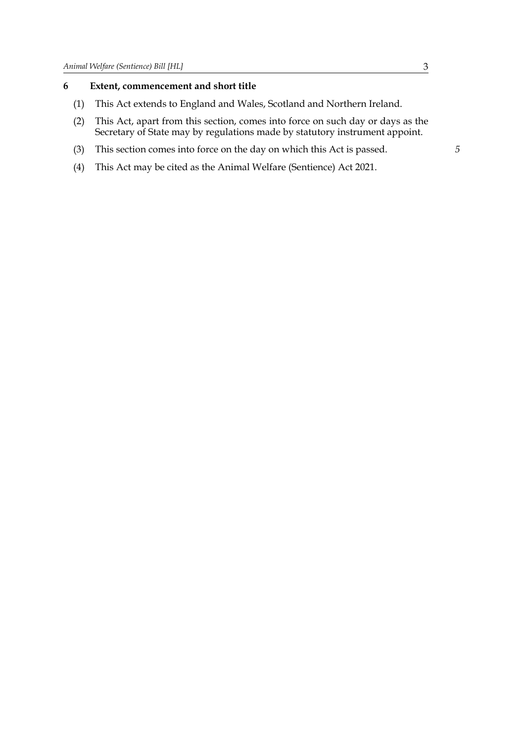#### <span id="page-6-0"></span>**6 Extent, commencement and short title**

- (1) This Act extends to England and Wales, Scotland and Northern Ireland.
- (2) This Act, apart from this section, comes into force on such day or days as the Secretary of State may by regulations made by statutory instrument appoint.
- (3) This section comes into force on the day on which this Act is passed.
- (4) This Act may be cited as the Animal Welfare (Sentience) Act 2021.

*5*